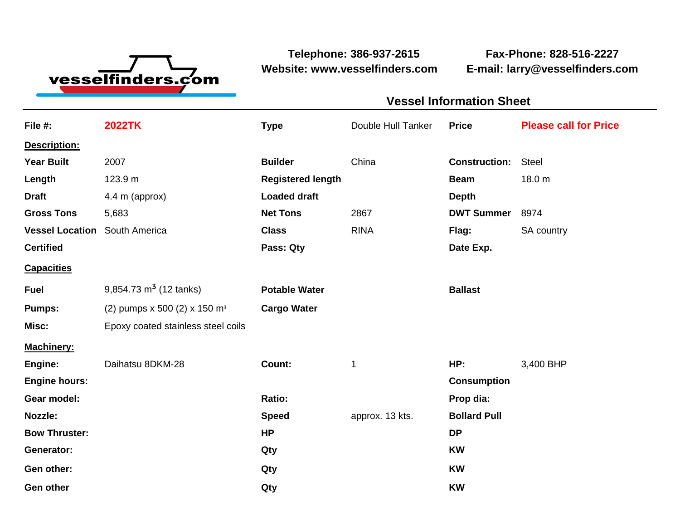

**Telephone: 386-937-2615 Fax-Phone: 828-516-2227 Website: www.vesselfinders.com E-mail: larry@vesselfinders.com**

|                                                                        | <b>Vessel Information Sheet</b>                |
|------------------------------------------------------------------------|------------------------------------------------|
|                                                                        | Double Hull Tanker Price Please call for Price |
|                                                                        |                                                |
| <b>Builder</b> China                                                   | <b>Construction:</b> Steel                     |
| <b>Registered length</b>                                               | <b>Beam</b> 18.0 m                             |
|                                                                        |                                                |
|                                                                        | DWT Summer 8974                                |
|                                                                        | Flag: SA country                               |
|                                                                        | Date Exp.                                      |
|                                                                        |                                                |
| <b>Potable Water</b>                                                   | <b>Ballast</b>                                 |
| <b>Pumps:</b> (2) pumps $x$ 500 (2) $x$ 150 m <sup>3</sup> Cargo Water |                                                |
|                                                                        |                                                |
|                                                                        |                                                |
|                                                                        | HP: 3,400 BHP                                  |
|                                                                        | Consumption                                    |
| approx. 13 kts. Bollard Pull<br><b>Speed</b>                           | Prop dia:                                      |
|                                                                        |                                                |
|                                                                        |                                                |
|                                                                        |                                                |

**Gen other Qty KW**